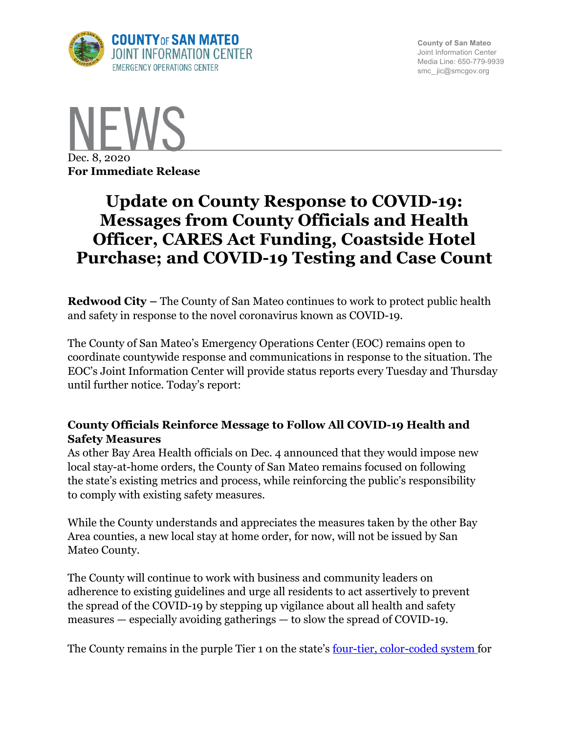

**County of San Mateo** Joint Information Center Media Line: 650-779-9939 smc\_ jic@smcgov.org



# **Update on County Response to COVID-19: Messages from County Officials and Health Officer, CARES Act Funding, Coastside Hotel Purchase; and COVID-19 Testing and Case Count**

**Redwood City –** The County of San Mateo continues to work to protect public health and safety in response to the novel coronavirus known as COVID-19.

The County of San Mateo's Emergency Operations Center (EOC) remains open to coordinate countywide response and communications in response to the situation. The EOC's Joint Information Center will provide status reports every Tuesday and Thursday until further notice. Today's report:

## **County Officials Reinforce Message to Follow All COVID-19 Health and Safety Measures**

As other Bay Area Health officials on Dec. 4 announced that they would impose new local stay-at-home orders, the County of San Mateo remains focused on following the state's existing metrics and process, while reinforcing the public's responsibility to comply with existing safety measures.

While the County understands and appreciates the measures taken by the other Bay Area counties, a new local stay at home order, for now, will not be issued by San Mateo County.

The County will continue to work with business and community leaders on adherence to existing guidelines and urge all residents to act assertively to prevent the spread of the COVID-19 by stepping up vigilance about all health and safety measures — especially avoiding gatherings — to slow the spread of COVID-19.

The County remains in the purple Tier 1 on the state's four-tier, color-coded system for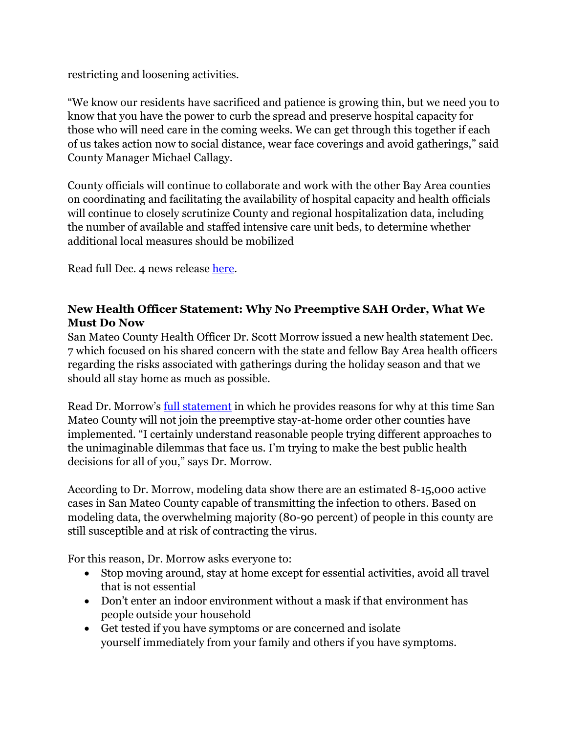restricting and loosening activities.

"We know our residents have sacrificed and patience is growing thin, but we need you to know that you have the power to curb the spread and preserve hospital capacity for those who will need care in the coming weeks. We can get through this together if each of us takes action now to social distance, wear face coverings and avoid gatherings," said County Manager Michael Callagy.

County officials will continue to collaborate and work with the other Bay Area counties on coordinating and facilitating the availability of hospital capacity and health officials will continue to closely scrutinize County and regional hospitalization data, including the number of available and staffed intensive care unit beds, to determine whether additional local measures should be mobilized

Read full Dec. 4 news release here.

# **New Health Officer Statement: Why No Preemptive SAH Order, What We Must Do Now**

San Mateo County Health Officer Dr. Scott Morrow issued a new health statement Dec. 7 which focused on his shared concern with the state and fellow Bay Area health officers regarding the risks associated with gatherings during the holiday season and that we should all stay home as much as possible.

Read Dr. Morrow's <u>full statement</u> in which he provides reasons for why at this time San Mateo County will not join the preemptive stay-at-home order other counties have implemented. "I certainly understand reasonable people trying different approaches to the unimaginable dilemmas that face us. I'm trying to make the best public health decisions for all of you," says Dr. Morrow.

According to Dr. Morrow, modeling data show there are an estimated 8-15,000 active cases in San Mateo County capable of transmitting the infection to others. Based on modeling data, the overwhelming majority (80-90 percent) of people in this county are still susceptible and at risk of contracting the virus.

For this reason, Dr. Morrow asks everyone to:

- Stop moving around, stay at home except for essential activities, avoid all travel that is not essential
- Don't enter an indoor environment without a mask if that environment has people outside your household
- Get tested if you have symptoms or are concerned and isolate yourself immediately from your family and others if you have symptoms.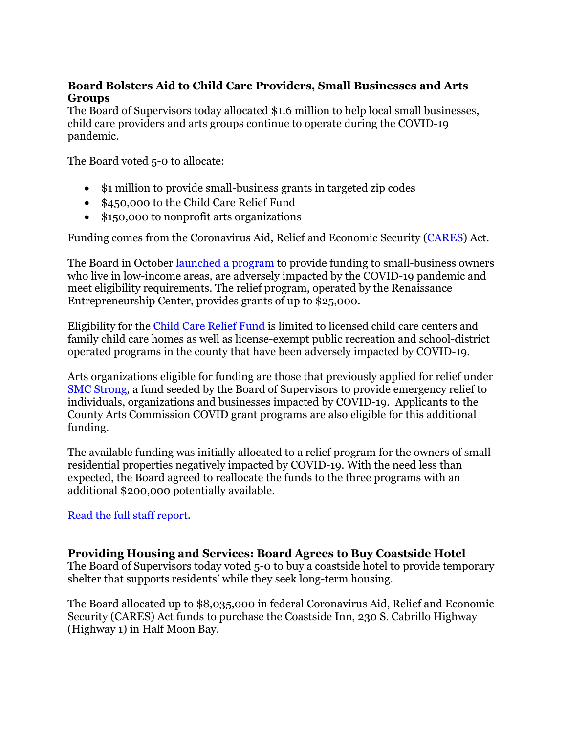## **Board Bolsters Aid to Child Care Providers, Small Businesses and Arts Groups**

The Board of Supervisors today allocated \$1.6 million to help local small businesses, child care providers and arts groups continue to operate during the COVID-19 pandemic.

The Board voted 5-0 to allocate:

- $\sin \theta$  is 1 million to provide small-business grants in targeted zip codes
- \$450,000 to the Child Care Relief Fund
- \$150,000 to nonprofit arts organizations

Funding comes from the Coronavirus Aid, Relief and Economic Security (CARES) Act.

The Board in October <u>launched a program</u> to provide funding to small-business owners who live in low-income areas, are adversely impacted by the COVID-19 pandemic and meet eligibility requirements. The relief program, operated by the Renaissance Entrepreneurship Center, provides grants of up to \$25,000.

Eligibility for the Child Care Relief Fund is limited to licensed child care centers and family child care homes as well as license-exempt public recreation and school-district operated programs in the county that have been adversely impacted by COVID-19.

Arts organizations eligible for funding are those that previously applied for relief under SMC Strong, a fund seeded by the Board of Supervisors to provide emergency relief to individuals, organizations and businesses impacted by COVID-19. Applicants to the County Arts Commission COVID grant programs are also eligible for this additional funding.

The available funding was initially allocated to a relief program for the owners of small residential properties negatively impacted by COVID-19. With the need less than expected, the Board agreed to reallocate the funds to the three programs with an additional \$200,000 potentially available.

#### Read the full staff report.

#### **Providing Housing and Services: Board Agrees to Buy Coastside Hotel**

The Board of Supervisors today voted 5-0 to buy a coastside hotel to provide temporary shelter that supports residents' while they seek long-term housing.

The Board allocated up to \$8,035,000 in federal Coronavirus Aid, Relief and Economic Security (CARES) Act funds to purchase the Coastside Inn, 230 S. Cabrillo Highway (Highway 1) in Half Moon Bay.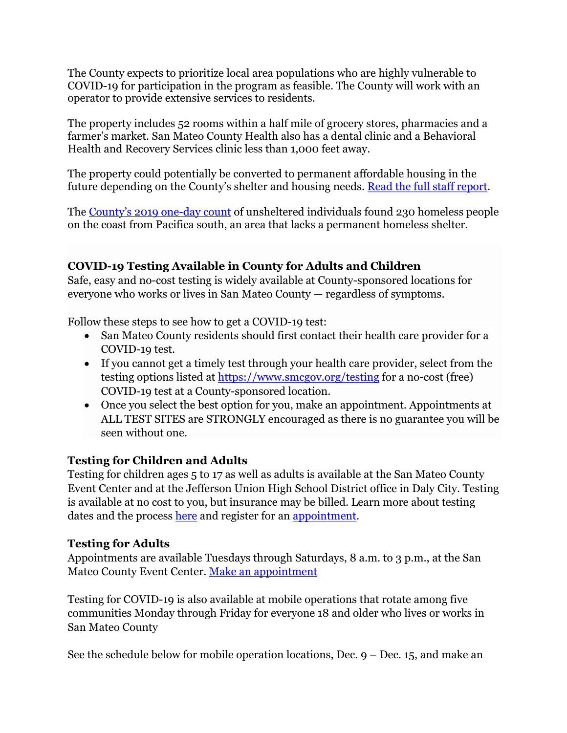The County expects to prioritize local area populations who are highly vulnerable to COVID-19 for participation in the program as feasible. The County will work with an operator to provide extensive services to residents.

The property includes 52 rooms within a half mile of grocery stores, pharmacies and a farmer's market. San Mateo County Health also has a dental clinic and a Behavioral Health and Recovery Services clinic less than 1,000 feet away.

The property could potentially be converted to permanent affordable housing in the future depending on the County's shelter and housing needs. Read the full staff report.

The County's 2019 one-day count of unsheltered individuals found 230 homeless people on the coast from Pacifica south, an area that lacks a permanent homeless shelter.

# **COVID-19 Testing Available in County for Adults and Children**

Safe, easy and no-cost testing is widely available at County-sponsored locations for everyone who works or lives in San Mateo County — regardless of symptoms.

Follow these steps to see how to get a COVID-19 test:

- San Mateo County residents should first contact their health care provider for a COVID-19 test.
- If you cannot get a timely test through your health care provider, select from the testing options listed at https://www.smcgov.org/testing for a no-cost (free) COVID-19 test at a County-sponsored location.
- Once you select the best option for you, make an appointment. Appointments at ALL TEST SITES are STRONGLY encouraged as there is no guarantee you will be seen without one.

# **Testing for Children and Adults**

Testing for children ages 5 to 17 as well as adults is available at the San Mateo County Event Center and at the Jefferson Union High School District office in Daly City. Testing is available at no cost to you, but insurance may be billed. Learn more about testing dates and the process here and register for an appointment.

# **Testing for Adults**

Appointments are available Tuesdays through Saturdays, 8 a.m. to 3 p.m., at the San Mateo County Event Center. Make an appointment

Testing for COVID-19 is also available at mobile operations that rotate among five communities Monday through Friday for everyone 18 and older who lives or works in San Mateo County

See the schedule below for mobile operation locations, Dec.  $9 -$  Dec. 15, and make an